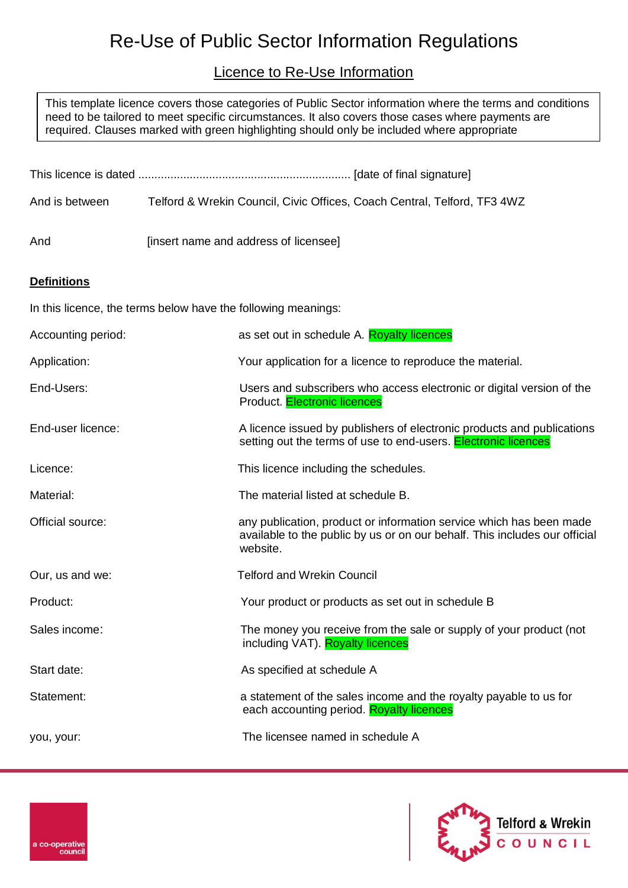# Re-Use of Public Sector Information Regulations

# Licence to Re-Use Information

This template licence covers those categories of Public Sector information where the terms and conditions need to be tailored to meet specific circumstances. It also covers those cases where payments are required. Clauses marked with green highlighting should only be included where appropriate

| And is between                                                | Telford & Wrekin Council, Civic Offices, Coach Central, Telford, TF3 4WZ |                                                                                                                                                               |  |
|---------------------------------------------------------------|--------------------------------------------------------------------------|---------------------------------------------------------------------------------------------------------------------------------------------------------------|--|
| And                                                           |                                                                          | [insert name and address of licensee]                                                                                                                         |  |
| <b>Definitions</b>                                            |                                                                          |                                                                                                                                                               |  |
| In this licence, the terms below have the following meanings: |                                                                          |                                                                                                                                                               |  |
| Accounting period:                                            |                                                                          | as set out in schedule A. Royalty licences                                                                                                                    |  |
| Application:                                                  |                                                                          | Your application for a licence to reproduce the material.                                                                                                     |  |
| End-Users:                                                    |                                                                          | Users and subscribers who access electronic or digital version of the<br>Product. Electronic licences                                                         |  |
| End-user licence:                                             |                                                                          | A licence issued by publishers of electronic products and publications<br>setting out the terms of use to end-users. <b>Electronic licences</b>               |  |
| Licence:                                                      |                                                                          | This licence including the schedules.                                                                                                                         |  |
| Material:                                                     |                                                                          | The material listed at schedule B.                                                                                                                            |  |
| Official source:                                              |                                                                          | any publication, product or information service which has been made<br>available to the public by us or on our behalf. This includes our official<br>website. |  |
| Our, us and we:                                               |                                                                          | <b>Telford and Wrekin Council</b>                                                                                                                             |  |
| Product:                                                      |                                                                          | Your product or products as set out in schedule B                                                                                                             |  |
| Sales income:                                                 |                                                                          | The money you receive from the sale or supply of your product (not<br>including VAT). Royalty licences                                                        |  |
| Start date:                                                   |                                                                          | As specified at schedule A                                                                                                                                    |  |
| Statement:                                                    |                                                                          | a statement of the sales income and the royalty payable to us for<br>each accounting period. Royalty licences                                                 |  |
| you, your:                                                    |                                                                          | The licensee named in schedule A                                                                                                                              |  |

a co-operative counci

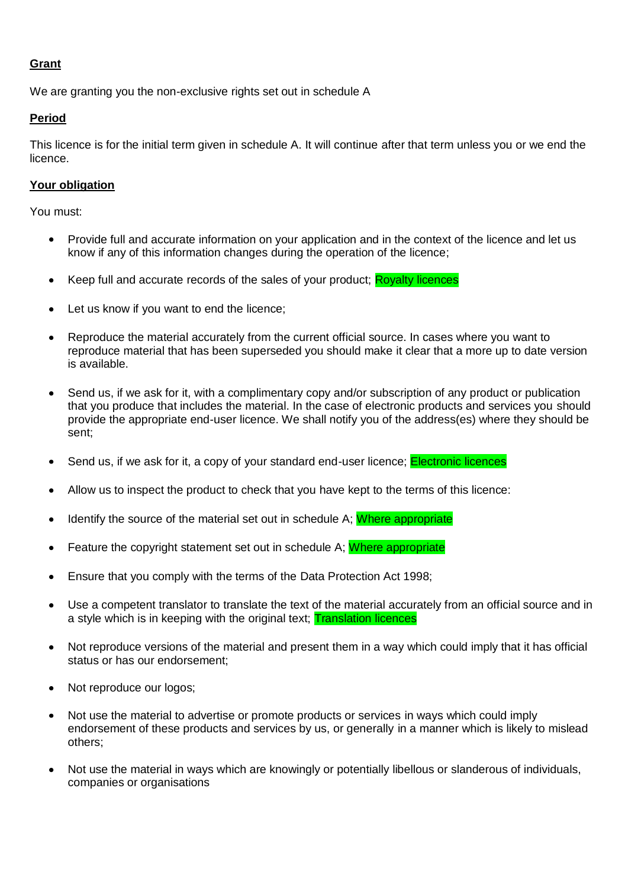#### **Grant**

We are granting you the non-exclusive rights set out in schedule A

## **Period**

This licence is for the initial term given in schedule A. It will continue after that term unless you or we end the licence.

#### **Your obligation**

You must:

- Provide full and accurate information on your application and in the context of the licence and let us  $\bullet$ know if any of this information changes during the operation of the licence;
- Keep full and accurate records of the sales of your product; Royalty licences  $\bullet$
- Let us know if you want to end the licence;
- Reproduce the material accurately from the current official source. In cases where you want to reproduce material that has been superseded you should make it clear that a more up to date version is available.
- Send us, if we ask for it, with a complimentary copy and/or subscription of any product or publication  $\bullet$ that you produce that includes the material. In the case of electronic products and services you should provide the appropriate end-user licence. We shall notify you of the address(es) where they should be sent;
- Send us, if we ask for it, a copy of your standard end-user licence; **Electronic licences**
- Allow us to inspect the product to check that you have kept to the terms of this licence:
- Identify the source of the material set out in schedule A; Where appropriate
- Feature the copyright statement set out in schedule A: Where appropriate
- Ensure that you comply with the terms of the Data Protection Act 1998;  $\bullet$
- Use a competent translator to translate the text of the material accurately from an official source and in a style which is in keeping with the original text; **Translation licences**
- Not reproduce versions of the material and present them in a way which could imply that it has official  $\bullet$ status or has our endorsement;
- Not reproduce our logos;
- Not use the material to advertise or promote products or services in ways which could imply endorsement of these products and services by us, or generally in a manner which is likely to mislead others;
- Not use the material in ways which are knowingly or potentially libellous or slanderous of individuals, companies or organisations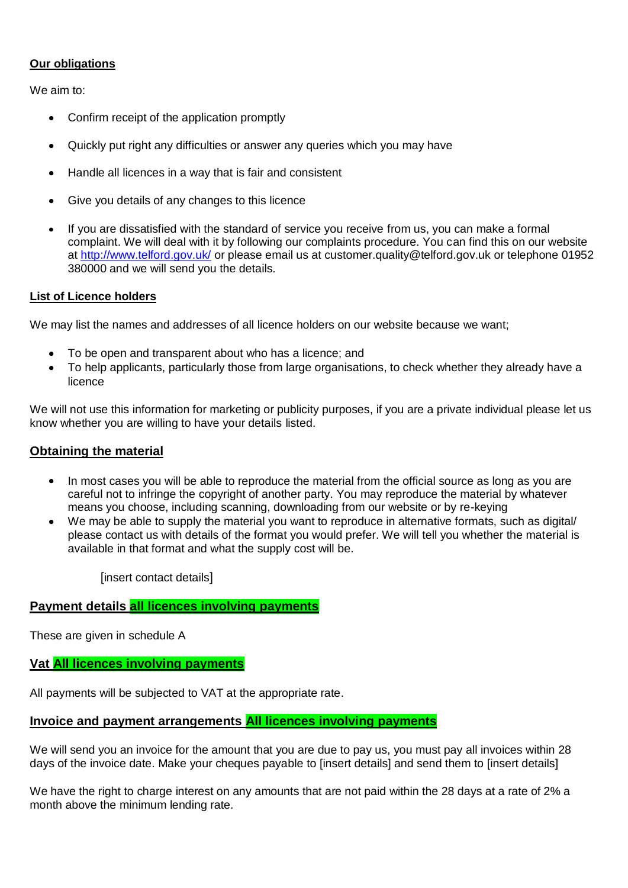#### **Our obligations**

We aim to:

- Confirm receipt of the application promptly
- Quickly put right any difficulties or answer any queries which you may have
- Handle all licences in a way that is fair and consistent  $\bullet$
- Give you details of any changes to this licence
- If you are dissatisfied with the standard of service you receive from us, you can make a formal complaint. We will deal with it by following our complaints procedure. You can find this on our website at<http://www.telford.gov.uk/> or please email us at customer.quality@telford.gov.uk or telephone 01952 380000 and we will send you the details.

#### **List of Licence holders**

We may list the names and addresses of all licence holders on our website because we want;

- To be open and transparent about who has a licence; and
- To help applicants, particularly those from large organisations, to check whether they already have a licence

We will not use this information for marketing or publicity purposes, if you are a private individual please let us know whether you are willing to have your details listed.

#### **Obtaining the material**

- In most cases you will be able to reproduce the material from the official source as long as you are careful not to infringe the copyright of another party. You may reproduce the material by whatever means you choose, including scanning, downloading from our website or by re-keying
- We may be able to supply the material you want to reproduce in alternative formats, such as digital/ please contact us with details of the format you would prefer. We will tell you whether the material is available in that format and what the supply cost will be.

[insert contact details]

#### **Payment details all licences involving payments**

These are given in schedule A

#### **Vat All licences involving payments**

All payments will be subjected to VAT at the appropriate rate.

#### **Invoice and payment arrangements All licences involving payments**

We will send you an invoice for the amount that you are due to pay us, you must pay all invoices within 28 days of the invoice date. Make your cheques payable to [insert details] and send them to [insert details]

We have the right to charge interest on any amounts that are not paid within the 28 days at a rate of 2% a month above the minimum lending rate.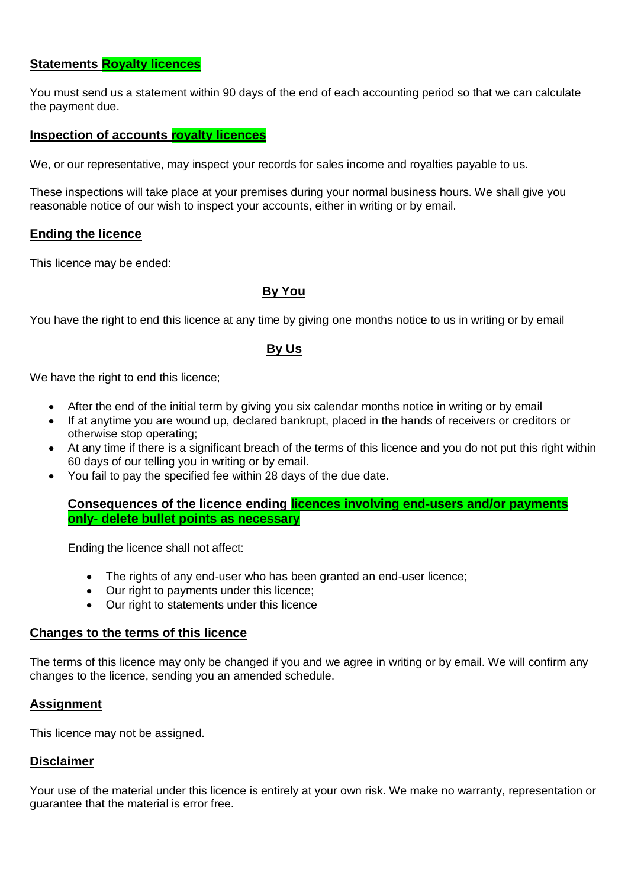# **Statements Royalty licences**

You must send us a statement within 90 days of the end of each accounting period so that we can calculate the payment due.

# **Inspection of accounts royalty licences**

We, or our representative, may inspect your records for sales income and royalties payable to us.

These inspections will take place at your premises during your normal business hours. We shall give you reasonable notice of our wish to inspect your accounts, either in writing or by email.

#### **Ending the licence**

This licence may be ended:

# **By You**

You have the right to end this licence at any time by giving one months notice to us in writing or by email

#### **By Us**

We have the right to end this licence;

- After the end of the initial term by giving you six calendar months notice in writing or by email
- If at anytime you are wound up, declared bankrupt, placed in the hands of receivers or creditors or otherwise stop operating;
- At any time if there is a significant breach of the terms of this licence and you do not put this right within 60 days of our telling you in writing or by email.
- You fail to pay the specified fee within 28 days of the due date.  $\bullet$

**Consequences of the licence ending licences involving end-users and/or payments only- delete bullet points as necessary**

Ending the licence shall not affect:

- The rights of any end-user who has been granted an end-user licence:
- Our right to payments under this licence;
- Our right to statements under this licence

#### **Changes to the terms of this licence**

The terms of this licence may only be changed if you and we agree in writing or by email. We will confirm any changes to the licence, sending you an amended schedule.

#### **Assignment**

This licence may not be assigned.

#### **Disclaimer**

Your use of the material under this licence is entirely at your own risk. We make no warranty, representation or guarantee that the material is error free.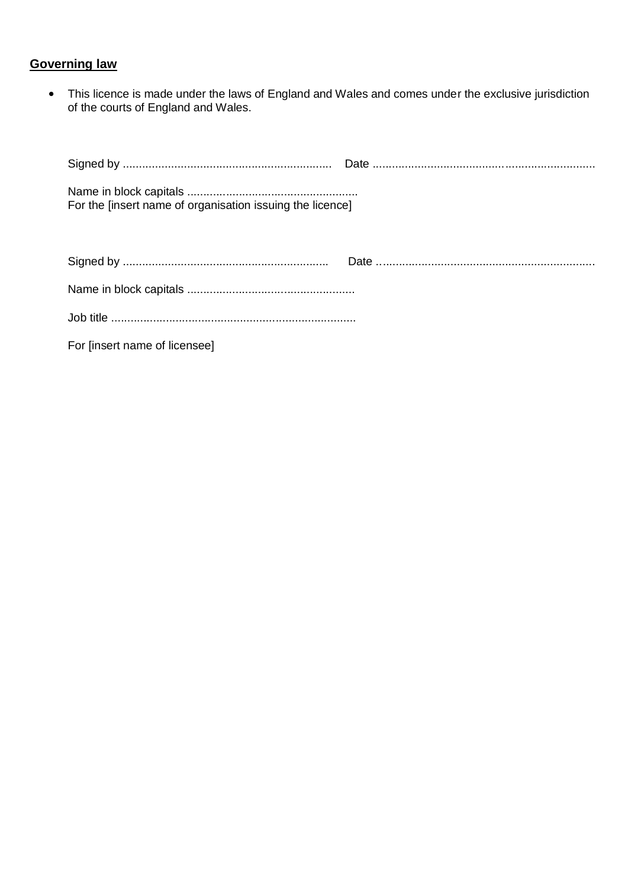# **Governing law**

This licence is made under the laws of England and Wales and comes under the exclusive jurisdiction of the courts of England and Wales.

| For the [insert name of organisation issuing the licence] |  |
|-----------------------------------------------------------|--|
|                                                           |  |
|                                                           |  |
|                                                           |  |
| For [insert name of licensee]                             |  |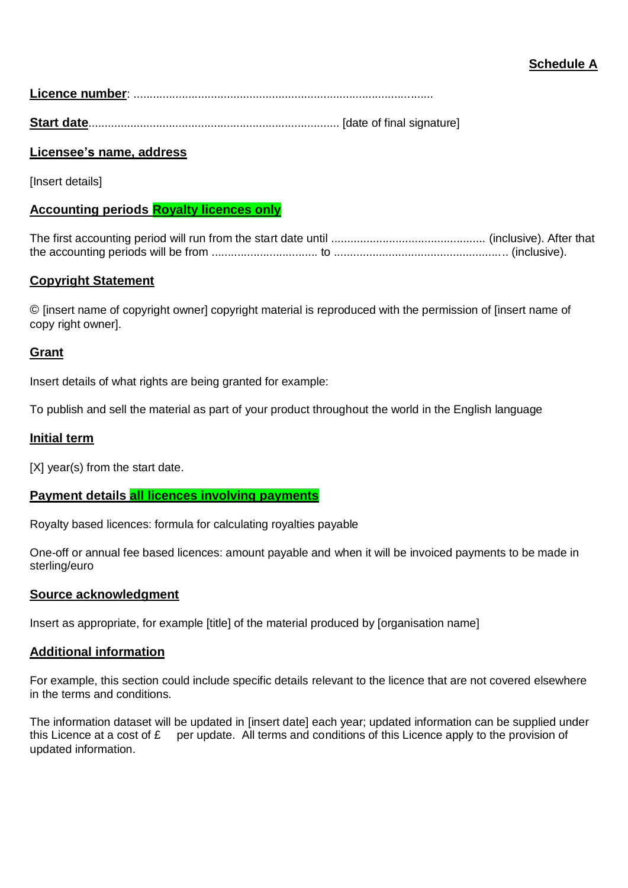# **Schedule A**

**Licence number**: .............................................................................................

**Start date**.............................................................................. [date of final signature]

# **Licensee's name, address**

**Insert details1** 

# **Accounting periods Royalty licences only**

The first accounting period will run from the start date until ................................................ (inclusive). After that the accounting periods will be from ................................. to ...................................................... (inclusive).

# **Copyright Statement**

© [insert name of copyright owner] copyright material is reproduced with the permission of [insert name of copy right owner].

## **Grant**

Insert details of what rights are being granted for example:

To publish and sell the material as part of your product throughout the world in the English language

#### **Initial term**

[X] year(s) from the start date.

## **Payment details all licences involving payments**

Royalty based licences: formula for calculating royalties payable

One-off or annual fee based licences: amount payable and when it will be invoiced payments to be made in sterling/euro

## **Source acknowledgment**

Insert as appropriate, for example [title] of the material produced by [organisation name]

## **Additional information**

For example, this section could include specific details relevant to the licence that are not covered elsewhere in the terms and conditions.

The information dataset will be updated in [insert date] each year; updated information can be supplied under this Licence at a cost of £ per update. All terms and conditions of this Licence apply to the provision of updated information.